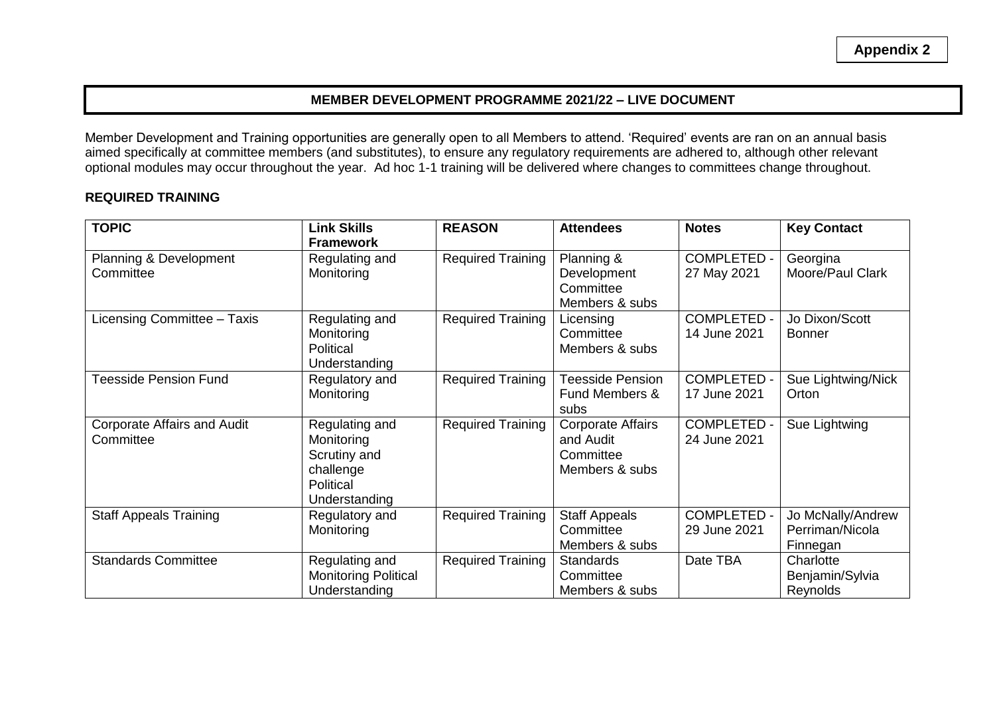**Appendix 2**

### **MEMBER DEVELOPMENT PROGRAMME 2021/22 – LIVE DOCUMENT**

Member Development and Training opportunities are generally open to all Members to attend. 'Required' events are ran on an annual basis aimed specifically at committee members (and substitutes), to ensure any regulatory requirements are adhered to, although other relevant optional modules may occur throughout the year. Ad hoc 1-1 training will be delivered where changes to committees change throughout.

#### **REQUIRED TRAINING**

| <b>TOPIC</b>                                    | <b>Link Skills</b><br><b>Framework</b>                                                  | <b>REASON</b>            | <b>Attendees</b>                                                     | <b>Notes</b>                       | <b>Key Contact</b>                               |
|-------------------------------------------------|-----------------------------------------------------------------------------------------|--------------------------|----------------------------------------------------------------------|------------------------------------|--------------------------------------------------|
| Planning & Development<br>Committee             | Regulating and<br>Monitoring                                                            | <b>Required Training</b> | Planning &<br>Development<br>Committee<br>Members & subs             | <b>COMPLETED -</b><br>27 May 2021  | Georgina<br>Moore/Paul Clark                     |
| Licensing Committee - Taxis                     | Regulating and<br>Monitoring<br>Political<br>Understanding                              | <b>Required Training</b> | Licensing<br>Committee<br>Members & subs                             | <b>COMPLETED -</b><br>14 June 2021 | Jo Dixon/Scott<br><b>Bonner</b>                  |
| <b>Teesside Pension Fund</b>                    | Regulatory and<br>Monitoring                                                            | <b>Required Training</b> | <b>Teesside Pension</b><br>Fund Members &<br>subs                    | <b>COMPLETED -</b><br>17 June 2021 | Sue Lightwing/Nick<br>Orton                      |
| <b>Corporate Affairs and Audit</b><br>Committee | Regulating and<br>Monitoring<br>Scrutiny and<br>challenge<br>Political<br>Understanding | <b>Required Training</b> | <b>Corporate Affairs</b><br>and Audit<br>Committee<br>Members & subs | <b>COMPLETED -</b><br>24 June 2021 | Sue Lightwing                                    |
| <b>Staff Appeals Training</b>                   | Regulatory and<br>Monitoring                                                            | <b>Required Training</b> | <b>Staff Appeals</b><br>Committee<br>Members & subs                  | <b>COMPLETED -</b><br>29 June 2021 | Jo McNally/Andrew<br>Perriman/Nicola<br>Finnegan |
| <b>Standards Committee</b>                      | Regulating and<br><b>Monitoring Political</b><br>Understanding                          | <b>Required Training</b> | <b>Standards</b><br>Committee<br>Members & subs                      | Date TBA                           | Charlotte<br>Benjamin/Sylvia<br>Reynolds         |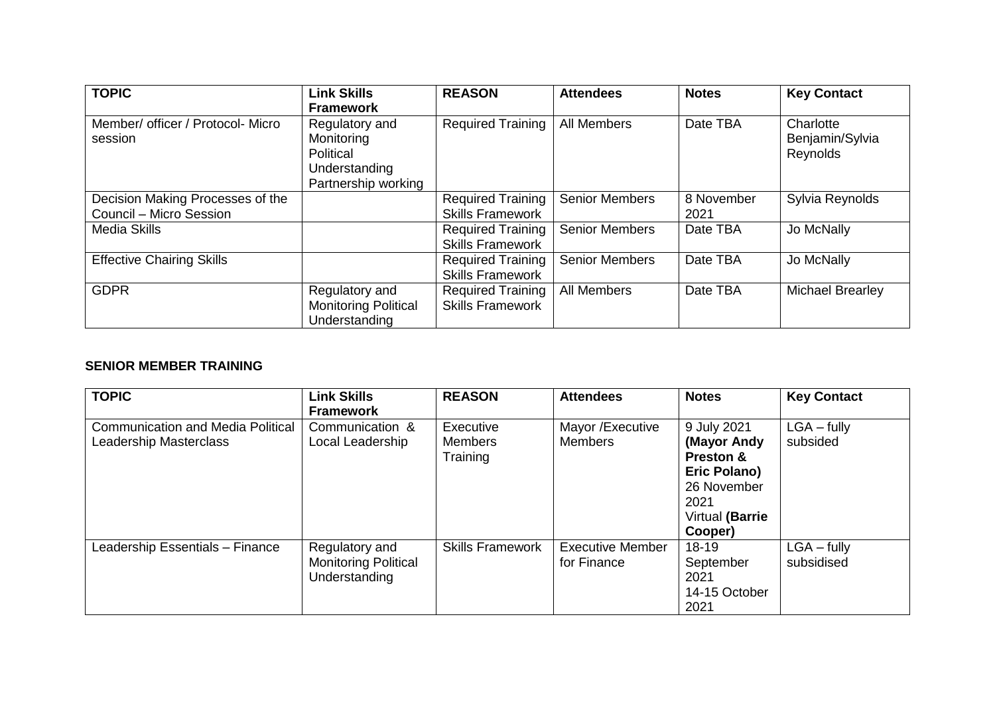| <b>TOPIC</b>                                                | <b>Link Skills</b>                                                                | <b>REASON</b>                                       | <b>Attendees</b>      | <b>Notes</b>       | <b>Key Contact</b>                       |
|-------------------------------------------------------------|-----------------------------------------------------------------------------------|-----------------------------------------------------|-----------------------|--------------------|------------------------------------------|
|                                                             | <b>Framework</b>                                                                  |                                                     |                       |                    |                                          |
| Member/ officer / Protocol- Micro<br>session                | Regulatory and<br>Monitoring<br>Political<br>Understanding<br>Partnership working | <b>Required Training</b>                            | All Members           | Date TBA           | Charlotte<br>Benjamin/Sylvia<br>Reynolds |
| Decision Making Processes of the<br>Council - Micro Session |                                                                                   | <b>Required Training</b><br><b>Skills Framework</b> | Senior Members        | 8 November<br>2021 | Sylvia Reynolds                          |
| <b>Media Skills</b>                                         |                                                                                   | <b>Required Training</b><br><b>Skills Framework</b> | <b>Senior Members</b> | Date TBA           | Jo McNally                               |
| <b>Effective Chairing Skills</b>                            |                                                                                   | <b>Required Training</b><br><b>Skills Framework</b> | <b>Senior Members</b> | Date TBA           | Jo McNally                               |
| <b>GDPR</b>                                                 | Regulatory and<br><b>Monitoring Political</b><br>Understanding                    | <b>Required Training</b><br><b>Skills Framework</b> | <b>All Members</b>    | Date TBA           | <b>Michael Brearley</b>                  |

# **SENIOR MEMBER TRAINING**

| <b>TOPIC</b>                                                       | <b>Link Skills</b>                                             | <b>REASON</b>                           | <b>Attendees</b>                       | <b>Notes</b>                                        | <b>Key Contact</b>          |
|--------------------------------------------------------------------|----------------------------------------------------------------|-----------------------------------------|----------------------------------------|-----------------------------------------------------|-----------------------------|
|                                                                    | <b>Framework</b>                                               |                                         |                                        |                                                     |                             |
| <b>Communication and Media Political</b><br>Leadership Masterclass | Communication &<br>Local Leadership                            | Executive<br><b>Members</b><br>Training | Mayor / Executive<br><b>Members</b>    | 9 July 2021<br>(Mayor Andy<br><b>Preston &amp;</b>  | $LGA - fully$<br>subsided   |
|                                                                    |                                                                |                                         |                                        | Eric Polano)<br>26 November                         |                             |
|                                                                    |                                                                |                                         |                                        | 2021<br>Virtual (Barrie<br>Cooper)                  |                             |
| Leadership Essentials - Finance                                    | Regulatory and<br><b>Monitoring Political</b><br>Understanding | <b>Skills Framework</b>                 | <b>Executive Member</b><br>for Finance | 18-19<br>September<br>2021<br>14-15 October<br>2021 | $LGA - fully$<br>subsidised |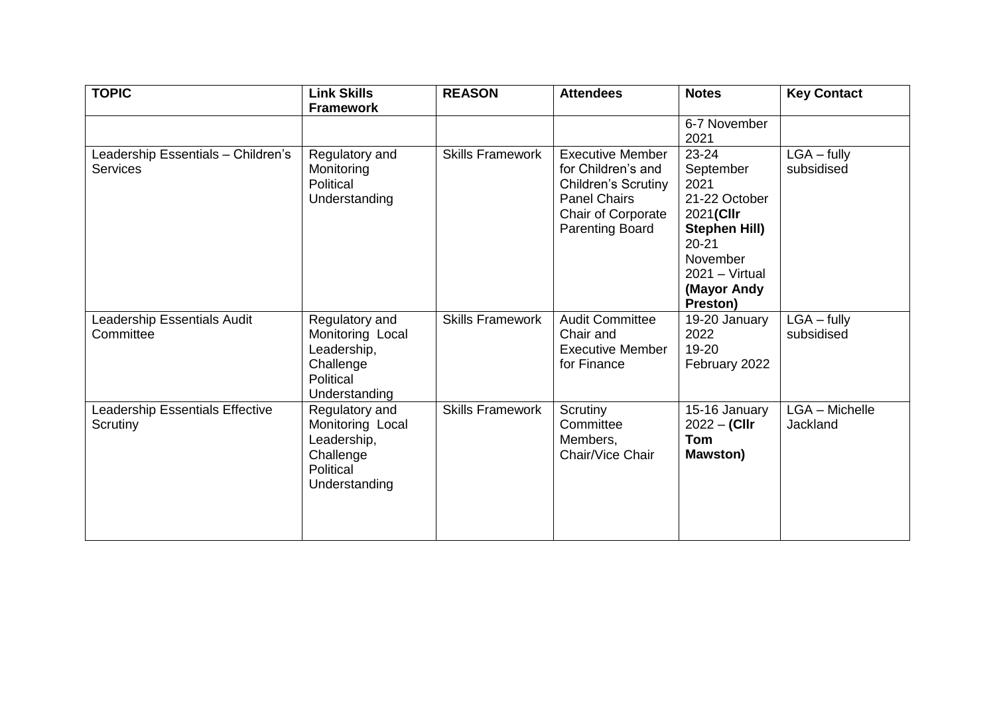| <b>TOPIC</b>                                   | <b>Link Skills</b>                                                                           | <b>REASON</b>           | <b>Attendees</b>                                                                                                                            | <b>Notes</b>                                                                                                                                                 | <b>Key Contact</b>          |
|------------------------------------------------|----------------------------------------------------------------------------------------------|-------------------------|---------------------------------------------------------------------------------------------------------------------------------------------|--------------------------------------------------------------------------------------------------------------------------------------------------------------|-----------------------------|
|                                                | <b>Framework</b>                                                                             |                         |                                                                                                                                             | 6-7 November<br>2021                                                                                                                                         |                             |
| Leadership Essentials - Children's<br>Services | Regulatory and<br>Monitoring<br>Political<br>Understanding                                   | <b>Skills Framework</b> | <b>Executive Member</b><br>for Children's and<br><b>Children's Scrutiny</b><br><b>Panel Chairs</b><br>Chair of Corporate<br>Parenting Board | $23 - 24$<br>September<br>2021<br>21-22 October<br>2021(Cllr<br><b>Stephen Hill)</b><br>$20 - 21$<br>November<br>$2021 - Virtual$<br>(Mayor Andy<br>Preston) | $LGA - fully$<br>subsidised |
| Leadership Essentials Audit<br>Committee       | Regulatory and<br>Monitoring Local<br>Leadership,<br>Challenge<br>Political<br>Understanding | <b>Skills Framework</b> | <b>Audit Committee</b><br>Chair and<br><b>Executive Member</b><br>for Finance                                                               | 19-20 January<br>2022<br>19-20<br>February 2022                                                                                                              | $LGA - fully$<br>subsidised |
| Leadership Essentials Effective<br>Scrutiny    | Regulatory and<br>Monitoring Local<br>Leadership,<br>Challenge<br>Political<br>Understanding | <b>Skills Framework</b> | Scrutiny<br>Committee<br>Members,<br>Chair/Vice Chair                                                                                       | 15-16 January<br>$2022 - (Clir)$<br><b>Tom</b><br><b>Mawston</b> )                                                                                           | LGA - Michelle<br>Jackland  |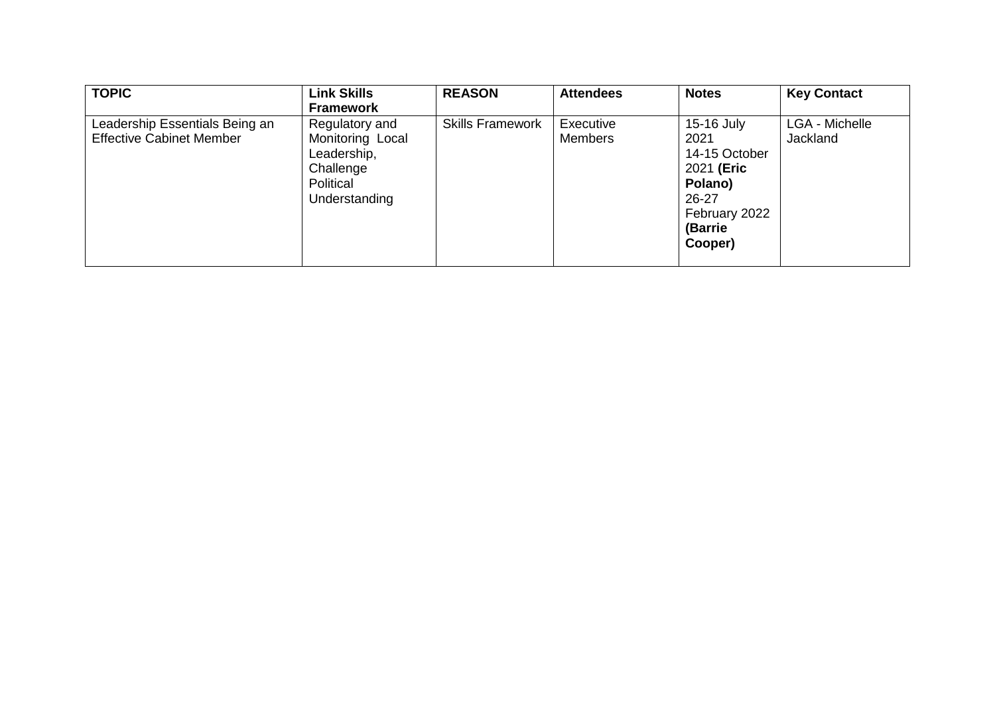| <b>TOPIC</b>                    | <b>Link Skills</b> | <b>REASON</b>           | <b>Attendees</b> | <b>Notes</b>  | <b>Key Contact</b> |
|---------------------------------|--------------------|-------------------------|------------------|---------------|--------------------|
|                                 | <b>Framework</b>   |                         |                  |               |                    |
| Leadership Essentials Being an  | Regulatory and     | <b>Skills Framework</b> | Executive        | 15-16 July    | LGA - Michelle     |
| <b>Effective Cabinet Member</b> | Monitoring Local   |                         | <b>Members</b>   | 2021          | <b>Jackland</b>    |
|                                 | Leadership,        |                         |                  | 14-15 October |                    |
|                                 | Challenge          |                         |                  | 2021 (Eric    |                    |
|                                 | Political          |                         |                  | Polano)       |                    |
|                                 | Understanding      |                         |                  | $26 - 27$     |                    |
|                                 |                    |                         |                  | February 2022 |                    |
|                                 |                    |                         |                  | (Barrie       |                    |
|                                 |                    |                         |                  | Cooper)       |                    |
|                                 |                    |                         |                  |               |                    |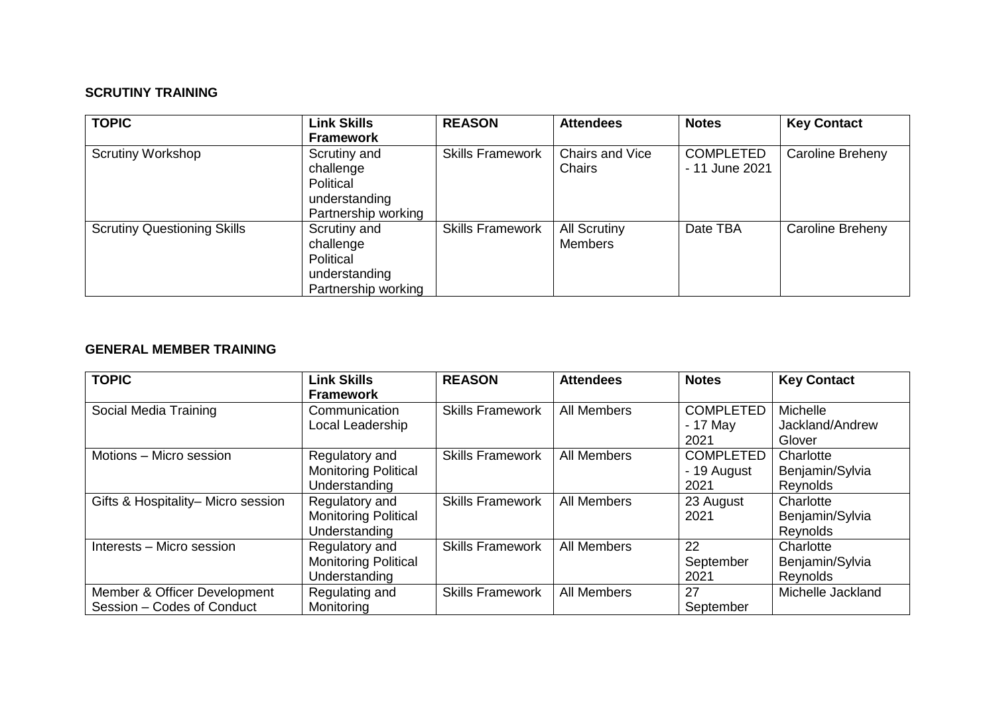# **SCRUTINY TRAINING**

| <b>TOPIC</b>                       | <b>Link Skills</b><br><b>Framework</b>                                         | <b>REASON</b>           | <b>Attendees</b>                      | <b>Notes</b>                       | <b>Key Contact</b> |
|------------------------------------|--------------------------------------------------------------------------------|-------------------------|---------------------------------------|------------------------------------|--------------------|
| <b>Scrutiny Workshop</b>           | Scrutiny and<br>challenge<br>Political<br>understanding<br>Partnership working | <b>Skills Framework</b> | Chairs and Vice<br>Chairs             | <b>COMPLETED</b><br>- 11 June 2021 | Caroline Breheny   |
| <b>Scrutiny Questioning Skills</b> | Scrutiny and<br>challenge<br>Political<br>understanding<br>Partnership working | <b>Skills Framework</b> | <b>All Scrutiny</b><br><b>Members</b> | Date TBA                           | Caroline Breheny   |

#### **GENERAL MEMBER TRAINING**

| <b>TOPIC</b>                       | <b>Link Skills</b>          | <b>REASON</b>           | <b>Attendees</b>   | <b>Notes</b>     | <b>Key Contact</b> |
|------------------------------------|-----------------------------|-------------------------|--------------------|------------------|--------------------|
|                                    | <b>Framework</b>            |                         |                    |                  |                    |
| Social Media Training              | Communication               | <b>Skills Framework</b> | <b>All Members</b> | <b>COMPLETED</b> | Michelle           |
|                                    | Local Leadership            |                         |                    | $-17$ May        | Jackland/Andrew    |
|                                    |                             |                         |                    | 2021             | Glover             |
| Motions - Micro session            | Regulatory and              | <b>Skills Framework</b> | <b>All Members</b> | <b>COMPLETED</b> | Charlotte          |
|                                    | <b>Monitoring Political</b> |                         |                    | - 19 August      | Benjamin/Sylvia    |
|                                    | Understanding               |                         |                    | 2021             | Reynolds           |
| Gifts & Hospitality- Micro session | Regulatory and              | <b>Skills Framework</b> | All Members        | 23 August        | Charlotte          |
|                                    | <b>Monitoring Political</b> |                         |                    | 2021             | Benjamin/Sylvia    |
|                                    | Understanding               |                         |                    |                  | Reynolds           |
| Interests - Micro session          | Regulatory and              | <b>Skills Framework</b> | All Members        | 22               | Charlotte          |
|                                    | <b>Monitoring Political</b> |                         |                    | September        | Benjamin/Sylvia    |
|                                    | Understanding               |                         |                    | 2021             | Reynolds           |
| Member & Officer Development       | Regulating and              | <b>Skills Framework</b> | All Members        | 27               | Michelle Jackland  |
| Session - Codes of Conduct         | Monitoring                  |                         |                    | September        |                    |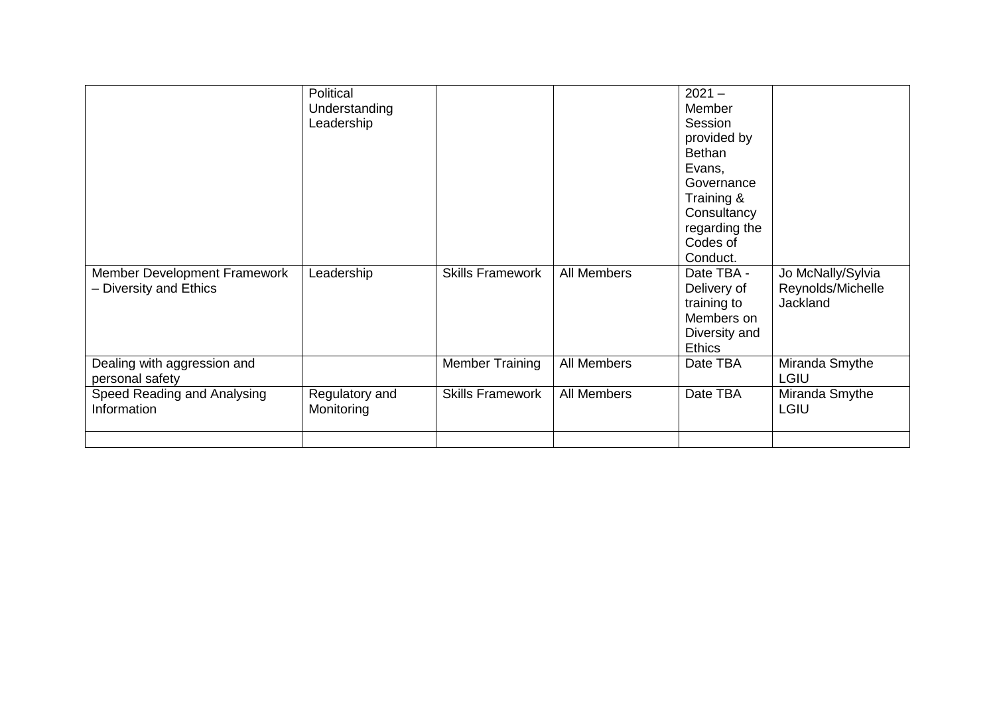|                                                        | Political<br>Understanding<br>Leadership |                         |             | $2021 -$<br>Member<br>Session<br>provided by<br><b>Bethan</b><br>Evans,<br>Governance<br>Training &<br>Consultancy<br>regarding the<br>Codes of<br>Conduct. |                                                    |
|--------------------------------------------------------|------------------------------------------|-------------------------|-------------|-------------------------------------------------------------------------------------------------------------------------------------------------------------|----------------------------------------------------|
| Member Development Framework<br>- Diversity and Ethics | Leadership                               | <b>Skills Framework</b> | All Members | Date TBA -<br>Delivery of<br>training to<br>Members on<br>Diversity and<br><b>Ethics</b>                                                                    | Jo McNally/Sylvia<br>Reynolds/Michelle<br>Jackland |
| Dealing with aggression and<br>personal safety         |                                          | <b>Member Training</b>  | All Members | Date TBA                                                                                                                                                    | Miranda Smythe<br><b>LGIU</b>                      |
| Speed Reading and Analysing<br>Information             | Regulatory and<br>Monitoring             | <b>Skills Framework</b> | All Members | Date TBA                                                                                                                                                    | Miranda Smythe<br>LGIU                             |
|                                                        |                                          |                         |             |                                                                                                                                                             |                                                    |